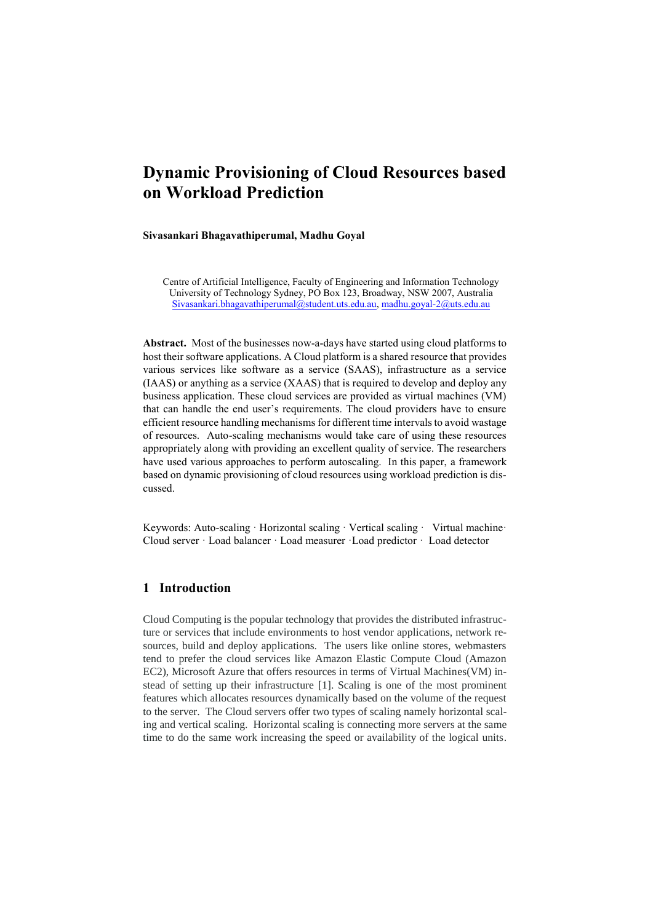# **Dynamic Provisioning of Cloud Resources based on Workload Prediction**

#### **Sivasankari Bhagavathiperumal, Madhu Goyal**

Centre of Artificial Intelligence, Faculty of Engineering and Information Technology University of Technology Sydney, PO Box 123, Broadway, NSW 2007, Australia [Sivasankari.bhagavathiperumal@student.uts.edu.au,](mailto:Sivasankari.bhagavathiperumal@student.uts.edu.au) [madhu.goyal-2@uts.edu.au](mailto:madhu.goyal-2@uts.edu.au)

**Abstract.** Most of the businesses now-a-days have started using cloud platforms to host their software applications. A Cloud platform is a shared resource that provides various services like software as a service (SAAS), infrastructure as a service (IAAS) or anything as a service (XAAS) that is required to develop and deploy any business application. These cloud services are provided as virtual machines (VM) that can handle the end user's requirements. The cloud providers have to ensure efficient resource handling mechanisms for different time intervals to avoid wastage of resources. Auto-scaling mechanisms would take care of using these resources appropriately along with providing an excellent quality of service. The researchers have used various approaches to perform autoscaling. In this paper, a framework based on dynamic provisioning of cloud resources using workload prediction is discussed.

Keywords: Auto-scaling · Horizontal scaling · Vertical scaling · Virtual machine · Cloud server · Load balancer · Load measurer ·Load predictor · Load detector

#### **1 Introduction**

Cloud Computing is the popular technology that provides the distributed infrastructure or services that include environments to host vendor applications, network resources, build and deploy applications. The users like online stores, webmasters tend to prefer the cloud services like Amazon Elastic Compute Cloud (Amazon EC2), Microsoft Azure that offers resources in terms of Virtual Machines(VM) instead of setting up their infrastructure [1]. Scaling is one of the most prominent features which allocates resources dynamically based on the volume of the request to the server. The Cloud servers offer two types of scaling namely horizontal scaling and vertical scaling. Horizontal scaling is connecting more servers at the same time to do the same work increasing the speed or availability of the logical units.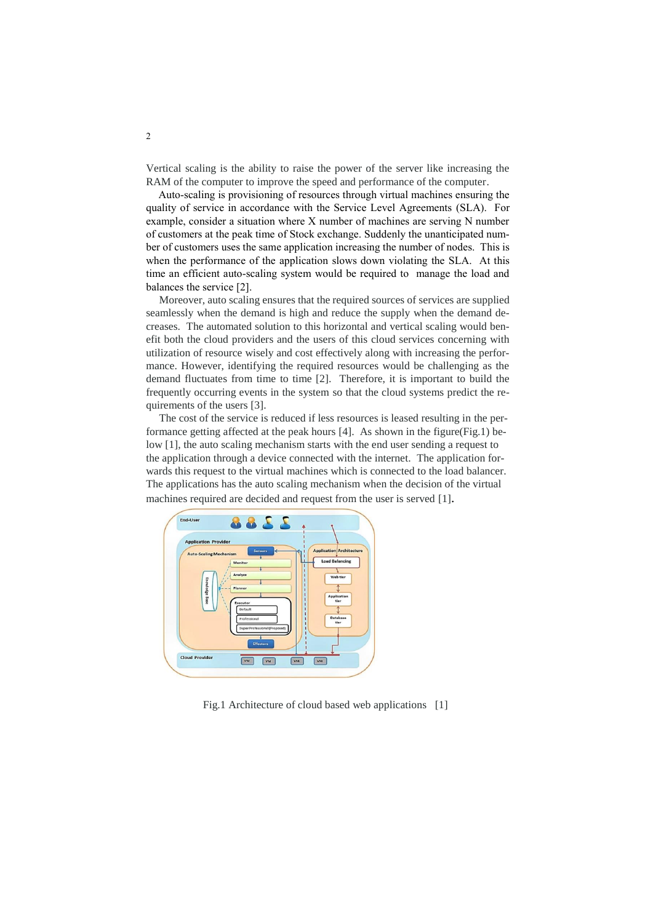Vertical scaling is the ability to raise the power of the server like increasing the RAM of the computer to improve the speed and performance of the computer.

Auto-scaling is provisioning of resources through virtual machines ensuring the quality of service in accordance with the Service Level Agreements (SLA). For example, consider a situation where X number of machines are serving N number of customers at the peak time of Stock exchange. Suddenly the unanticipated number of customers uses the same application increasing the number of nodes. This is when the performance of the application slows down violating the SLA. At this time an efficient auto-scaling system would be required to manage the load and balances the service [2].

Moreover, auto scaling ensures that the required sources of services are supplied seamlessly when the demand is high and reduce the supply when the demand decreases. The automated solution to this horizontal and vertical scaling would benefit both the cloud providers and the users of this cloud services concerning with utilization of resource wisely and cost effectively along with increasing the performance. However, identifying the required resources would be challenging as the demand fluctuates from time to time [2]. Therefore, it is important to build the frequently occurring events in the system so that the cloud systems predict the requirements of the users [3].

The cost of the service is reduced if less resources is leased resulting in the performance getting affected at the peak hours [4]. As shown in the figure(Fig.1) below [1], the auto scaling mechanism starts with the end user sending a request to the application through a device connected with the internet. The application forwards this request to the virtual machines which is connected to the load balancer. The applications has the auto scaling mechanism when the decision of the virtual machines required are decided and request from the user is served [1].



Fig.1 Architecture of cloud based web applications [1]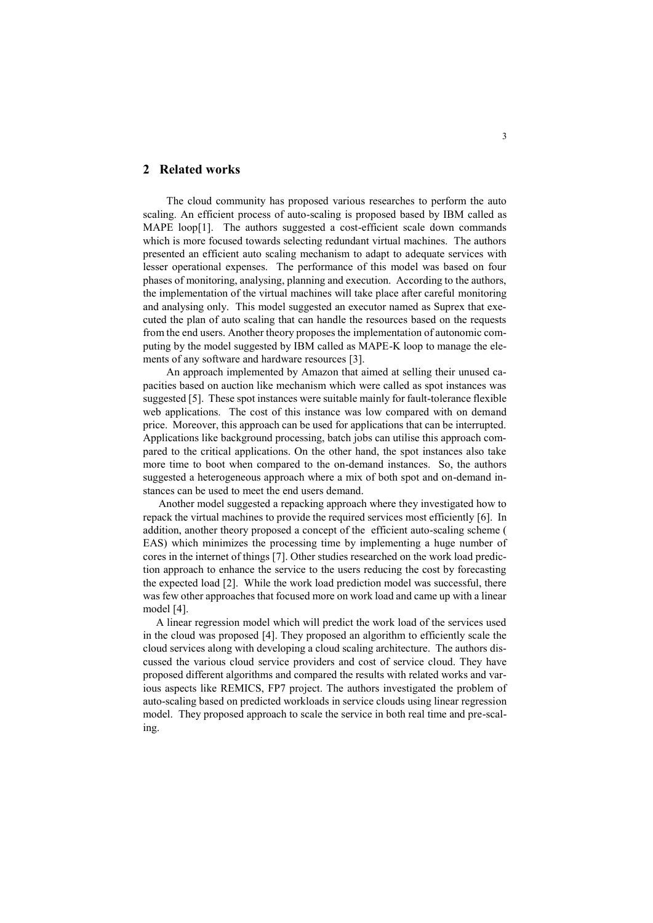#### **2 Related works**

The cloud community has proposed various researches to perform the auto scaling. An efficient process of auto-scaling is proposed based by IBM called as MAPE loop[1]. The authors suggested a cost-efficient scale down commands which is more focused towards selecting redundant virtual machines. The authors presented an efficient auto scaling mechanism to adapt to adequate services with lesser operational expenses. The performance of this model was based on four phases of monitoring, analysing, planning and execution. According to the authors, the implementation of the virtual machines will take place after careful monitoring and analysing only. This model suggested an executor named as Suprex that executed the plan of auto scaling that can handle the resources based on the requests from the end users. Another theory proposes the implementation of autonomic computing by the model suggested by IBM called as MAPE-K loop to manage the elements of any software and hardware resources [3].

An approach implemented by Amazon that aimed at selling their unused capacities based on auction like mechanism which were called as spot instances was suggested [5]. These spot instances were suitable mainly for fault-tolerance flexible web applications. The cost of this instance was low compared with on demand price. Moreover, this approach can be used for applications that can be interrupted. Applications like background processing, batch jobs can utilise this approach compared to the critical applications. On the other hand, the spot instances also take more time to boot when compared to the on-demand instances. So, the authors suggested a heterogeneous approach where a mix of both spot and on-demand instances can be used to meet the end users demand.

Another model suggested a repacking approach where they investigated how to repack the virtual machines to provide the required services most efficiently [6]. In addition, another theory proposed a concept of the efficient auto-scaling scheme ( EAS) which minimizes the processing time by implementing a huge number of cores in the internet of things [7]. Other studies researched on the work load prediction approach to enhance the service to the users reducing the cost by forecasting the expected load [2]. While the work load prediction model was successful, there was few other approaches that focused more on work load and came up with a linear model [4].

A linear regression model which will predict the work load of the services used in the cloud was proposed [4]. They proposed an algorithm to efficiently scale the cloud services along with developing a cloud scaling architecture. The authors discussed the various cloud service providers and cost of service cloud. They have proposed different algorithms and compared the results with related works and various aspects like REMICS, FP7 project. The authors investigated the problem of auto-scaling based on predicted workloads in service clouds using linear regression model. They proposed approach to scale the service in both real time and pre-scaling.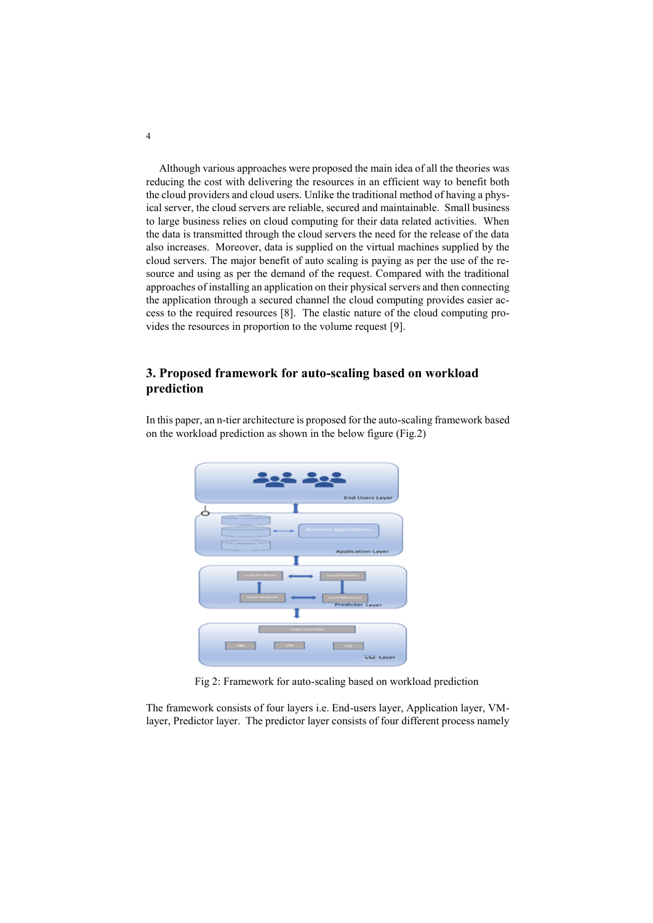Although various approaches were proposed the main idea of all the theories was reducing the cost with delivering the resources in an efficient way to benefit both the cloud providers and cloud users. Unlike the traditional method of having a physical server, the cloud servers are reliable, secured and maintainable. Small business to large business relies on cloud computing for their data related activities. When the data is transmitted through the cloud servers the need for the release of the data also increases. Moreover, data is supplied on the virtual machines supplied by the cloud servers. The major benefit of auto scaling is paying as per the use of the resource and using as per the demand of the request. Compared with the traditional approaches of installing an application on their physical servers and then connecting the application through a secured channel the cloud computing provides easier access to the required resources [8]. The elastic nature of the cloud computing provides the resources in proportion to the volume request [9].

## **3. Proposed framework for auto-scaling based on workload prediction**

In this paper, an n-tier architecture is proposed for the auto-scaling framework based on the workload prediction as shown in the below figure (Fig.2)



Fig 2: Framework for auto-scaling based on workload prediction

The framework consists of four layers i.e. End-users layer, Application layer, VMlayer, Predictor layer. The predictor layer consists of four different process namely

4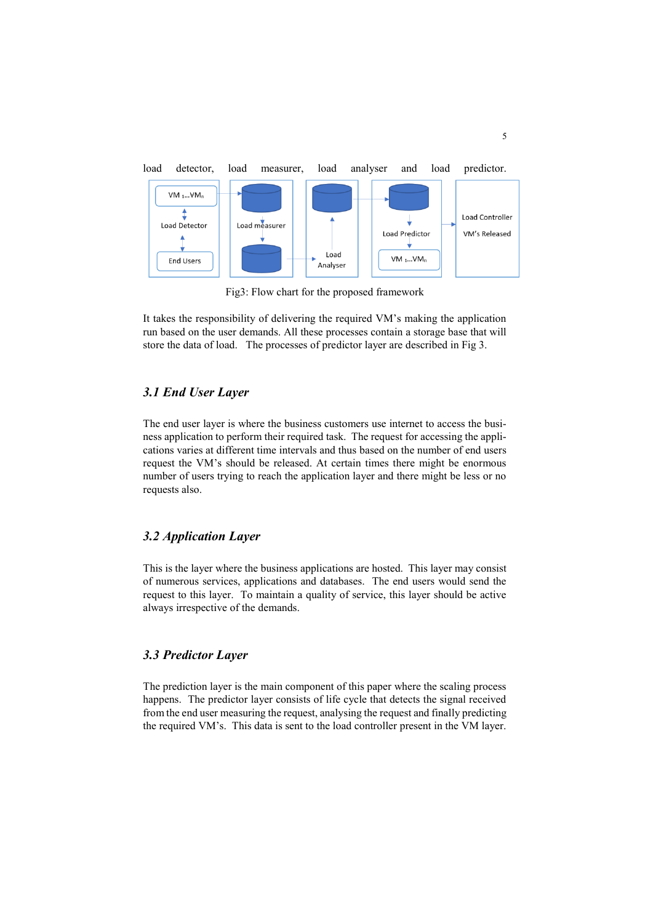

Fig3: Flow chart for the proposed framework

It takes the responsibility of delivering the required VM's making the application run based on the user demands. All these processes contain a storage base that will store the data of load. The processes of predictor layer are described in Fig 3.

## *3.1 End User Layer*

The end user layer is where the business customers use internet to access the business application to perform their required task. The request for accessing the applications varies at different time intervals and thus based on the number of end users request the VM's should be released. At certain times there might be enormous number of users trying to reach the application layer and there might be less or no requests also.

## *3.2 Application Layer*

This is the layer where the business applications are hosted. This layer may consist of numerous services, applications and databases. The end users would send the request to this layer. To maintain a quality of service, this layer should be active always irrespective of the demands.

## *3.3 Predictor Layer*

The prediction layer is the main component of this paper where the scaling process happens. The predictor layer consists of life cycle that detects the signal received from the end user measuring the request, analysing the request and finally predicting the required VM's. This data is sent to the load controller present in the VM layer.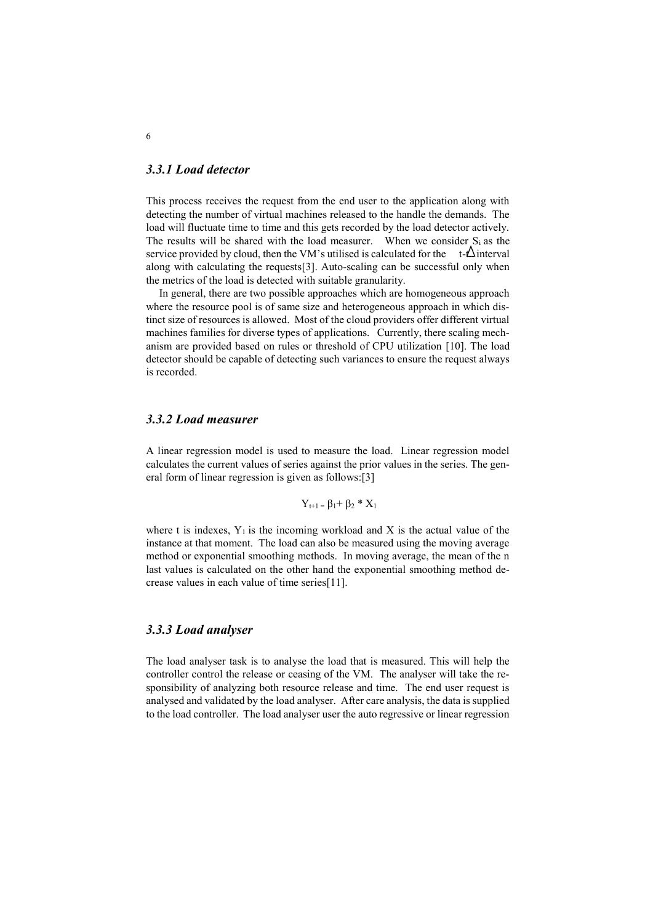#### *3.3.1 Load detector*

This process receives the request from the end user to the application along with detecting the number of virtual machines released to the handle the demands. The load will fluctuate time to time and this gets recorded by the load detector actively. The results will be shared with the load measurer. When we consider  $S_i$  as the service provided by cloud, then the VM's utilised is calculated for the  $t-\Delta$  interval along with calculating the requests[3]. Auto-scaling can be successful only when the metrics of the load is detected with suitable granularity.

In general, there are two possible approaches which are homogeneous approach where the resource pool is of same size and heterogeneous approach in which distinct size of resources is allowed. Most of the cloud providers offer different virtual machines families for diverse types of applications. Currently, there scaling mechanism are provided based on rules or threshold of CPU utilization [10]. The load detector should be capable of detecting such variances to ensure the request always is recorded.

## *3.3.2 Load measurer*

A linear regression model is used to measure the load. Linear regression model calculates the current values of series against the prior values in the series. The general form of linear regression is given as follows:[3]

$$
Y_{t+1}=\beta_1+\beta_2\text{ }^*\text{ }X_1
$$

where t is indexes,  $Y_1$  is the incoming workload and X is the actual value of the instance at that moment. The load can also be measured using the moving average method or exponential smoothing methods. In moving average, the mean of the n last values is calculated on the other hand the exponential smoothing method decrease values in each value of time series[11].

#### *3.3.3 Load analyser*

The load analyser task is to analyse the load that is measured. This will help the controller control the release or ceasing of the VM. The analyser will take the responsibility of analyzing both resource release and time. The end user request is analysed and validated by the load analyser. After care analysis, the data is supplied to the load controller. The load analyser user the auto regressive or linear regression

6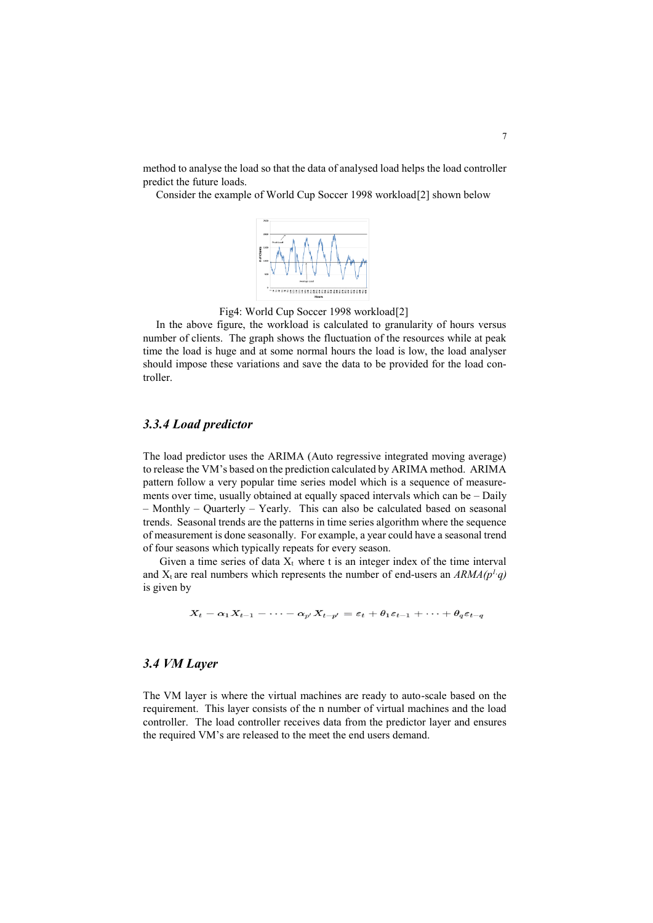method to analyse the load so that the data of analysed load helps the load controller predict the future loads.

Consider the example of World Cup Soccer 1998 workload[2] shown below



Fig4: World Cup Soccer 1998 workload[2]

In the above figure, the workload is calculated to granularity of hours versus number of clients. The graph shows the fluctuation of the resources while at peak time the load is huge and at some normal hours the load is low, the load analyser should impose these variations and save the data to be provided for the load controller.

#### *3.3.4 Load predictor*

The load predictor uses the ARIMA (Auto regressive integrated moving average) to release the VM's based on the prediction calculated by ARIMA method. ARIMA pattern follow a very popular time series model which is a sequence of measurements over time, usually obtained at equally spaced intervals which can be – Daily – Monthly – Quarterly – Yearly. This can also be calculated based on seasonal trends. Seasonal trends are the patterns in time series algorithm where the sequence of measurement is done seasonally. For example, a year could have a seasonal trend of four seasons which typically repeats for every season.

Given a time series of data  $X_t$  where t is an integer index of the time interval and  $X_t$  are real numbers which represents the number of end-users an  $ARMA(p^1, q)$ is given by

$$
X_t-\alpha_1X_{t-1}-\cdots-\alpha_{p'}X_{t-p'}=\varepsilon_t+\theta_1\varepsilon_{t-1}+\cdots+\theta_q\varepsilon_{t-q}
$$

#### *3.4 VM Layer*

The VM layer is where the virtual machines are ready to auto-scale based on the requirement. This layer consists of the n number of virtual machines and the load controller. The load controller receives data from the predictor layer and ensures the required VM's are released to the meet the end users demand.